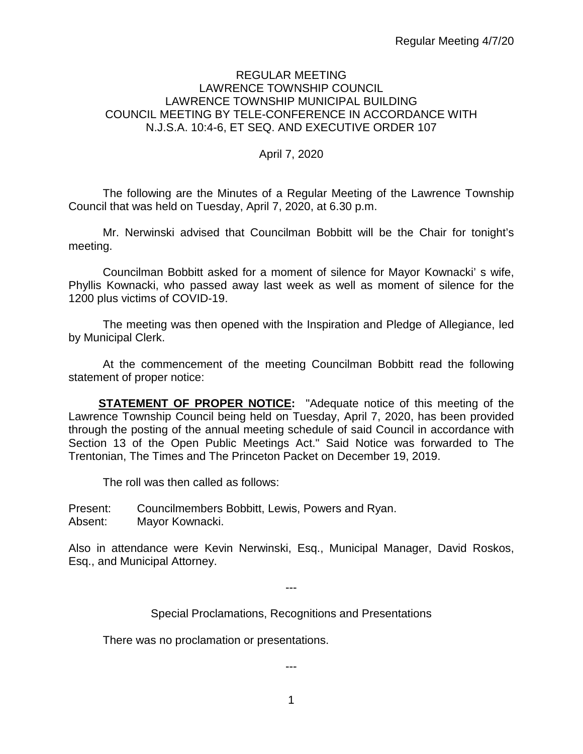#### REGULAR MEETING LAWRENCE TOWNSHIP COUNCIL LAWRENCE TOWNSHIP MUNICIPAL BUILDING COUNCIL MEETING BY TELE-CONFERENCE IN ACCORDANCE WITH N.J.S.A. 10:4-6, ET SEQ. AND EXECUTIVE ORDER 107

#### April 7, 2020

The following are the Minutes of a Regular Meeting of the Lawrence Township Council that was held on Tuesday, April 7, 2020, at 6.30 p.m.

Mr. Nerwinski advised that Councilman Bobbitt will be the Chair for tonight's meeting.

Councilman Bobbitt asked for a moment of silence for Mayor Kownacki' s wife, Phyllis Kownacki, who passed away last week as well as moment of silence for the 1200 plus victims of COVID-19.

The meeting was then opened with the Inspiration and Pledge of Allegiance, led by Municipal Clerk.

At the commencement of the meeting Councilman Bobbitt read the following statement of proper notice:

**STATEMENT OF PROPER NOTICE:** "Adequate notice of this meeting of the Lawrence Township Council being held on Tuesday, April 7, 2020, has been provided through the posting of the annual meeting schedule of said Council in accordance with Section 13 of the Open Public Meetings Act." Said Notice was forwarded to The Trentonian, The Times and The Princeton Packet on December 19, 2019.

The roll was then called as follows:

Present: Councilmembers Bobbitt, Lewis, Powers and Ryan. Absent: Mayor Kownacki.

Also in attendance were Kevin Nerwinski, Esq., Municipal Manager, David Roskos, Esq., and Municipal Attorney.

---

Special Proclamations, Recognitions and Presentations

There was no proclamation or presentations.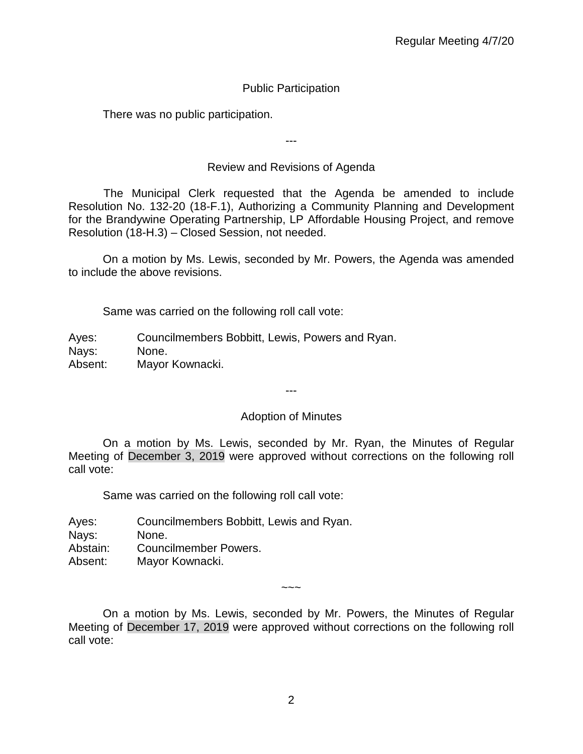# Public Participation

There was no public participation.

Review and Revisions of Agenda

---

 The Municipal Clerk requested that the Agenda be amended to include Resolution No. 132-20 (18-F.1), Authorizing a Community Planning and Development for the Brandywine Operating Partnership, LP Affordable Housing Project, and remove Resolution (18-H.3) – Closed Session, not needed.

On a motion by Ms. Lewis, seconded by Mr. Powers, the Agenda was amended to include the above revisions.

Same was carried on the following roll call vote:

Ayes: Councilmembers Bobbitt, Lewis, Powers and Ryan. Nays: None. Absent: Mayor Kownacki.

---

# Adoption of Minutes

On a motion by Ms. Lewis, seconded by Mr. Ryan, the Minutes of Regular Meeting of December 3, 2019 were approved without corrections on the following roll call vote:

Same was carried on the following roll call vote:

Ayes: Councilmembers Bobbitt, Lewis and Ryan. Nays: None. Abstain: Councilmember Powers. Absent: Mayor Kownacki.

 $\sim\sim\sim$ 

On a motion by Ms. Lewis, seconded by Mr. Powers, the Minutes of Regular Meeting of December 17, 2019 were approved without corrections on the following roll call vote: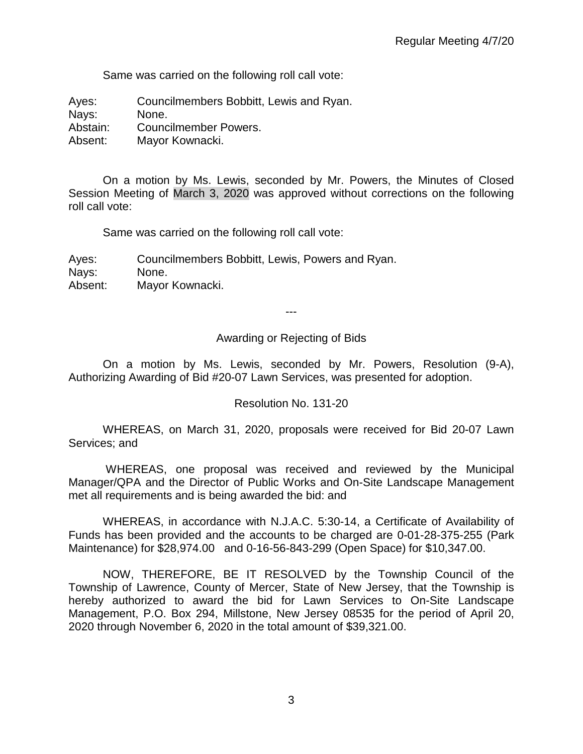Same was carried on the following roll call vote:

Ayes: Councilmembers Bobbitt, Lewis and Ryan. Nays: None.

Abstain: Councilmember Powers.

Absent: Mayor Kownacki.

On a motion by Ms. Lewis, seconded by Mr. Powers, the Minutes of Closed Session Meeting of March 3, 2020 was approved without corrections on the following roll call vote:

Same was carried on the following roll call vote:

Ayes: Councilmembers Bobbitt, Lewis, Powers and Ryan. Nays: None. Absent: Mayor Kownacki.

---

Awarding or Rejecting of Bids

On a motion by Ms. Lewis, seconded by Mr. Powers, Resolution (9-A), Authorizing Awarding of Bid #20-07 Lawn Services, was presented for adoption.

# Resolution No. 131-20

WHEREAS, on March 31, 2020, proposals were received for Bid 20-07 Lawn Services; and

WHEREAS, one proposal was received and reviewed by the Municipal Manager/QPA and the Director of Public Works and On-Site Landscape Management met all requirements and is being awarded the bid: and

WHEREAS, in accordance with N.J.A.C. 5:30-14, a Certificate of Availability of Funds has been provided and the accounts to be charged are 0-01-28-375-255 (Park Maintenance) for \$28,974.00 and 0-16-56-843-299 (Open Space) for \$10,347.00.

NOW, THEREFORE, BE IT RESOLVED by the Township Council of the Township of Lawrence, County of Mercer, State of New Jersey, that the Township is hereby authorized to award the bid for Lawn Services to On-Site Landscape Management, P.O. Box 294, Millstone, New Jersey 08535 for the period of April 20, 2020 through November 6, 2020 in the total amount of \$39,321.00.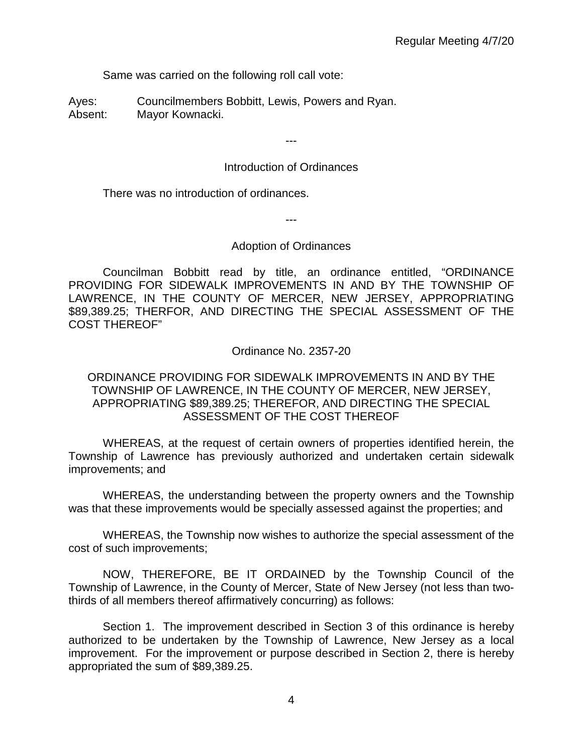Same was carried on the following roll call vote:

Ayes: Councilmembers Bobbitt, Lewis, Powers and Ryan. Absent: Mayor Kownacki.

# Introduction of Ordinances

---

There was no introduction of ordinances.

---

# Adoption of Ordinances

Councilman Bobbitt read by title, an ordinance entitled, "ORDINANCE PROVIDING FOR SIDEWALK IMPROVEMENTS IN AND BY THE TOWNSHIP OF LAWRENCE, IN THE COUNTY OF MERCER, NEW JERSEY, APPROPRIATING \$89,389.25; THERFOR, AND DIRECTING THE SPECIAL ASSESSMENT OF THE COST THEREOF"

Ordinance No. 2357-20

# ORDINANCE PROVIDING FOR SIDEWALK IMPROVEMENTS IN AND BY THE TOWNSHIP OF LAWRENCE, IN THE COUNTY OF MERCER, NEW JERSEY, APPROPRIATING \$89,389.25; THEREFOR, AND DIRECTING THE SPECIAL ASSESSMENT OF THE COST THEREOF

WHEREAS, at the request of certain owners of properties identified herein, the Township of Lawrence has previously authorized and undertaken certain sidewalk improvements; and

WHEREAS, the understanding between the property owners and the Township was that these improvements would be specially assessed against the properties; and

WHEREAS, the Township now wishes to authorize the special assessment of the cost of such improvements;

NOW, THEREFORE, BE IT ORDAINED by the Township Council of the Township of Lawrence, in the County of Mercer, State of New Jersey (not less than twothirds of all members thereof affirmatively concurring) as follows:

Section 1. The improvement described in Section 3 of this ordinance is hereby authorized to be undertaken by the Township of Lawrence, New Jersey as a local improvement. For the improvement or purpose described in Section 2, there is hereby appropriated the sum of \$89,389.25.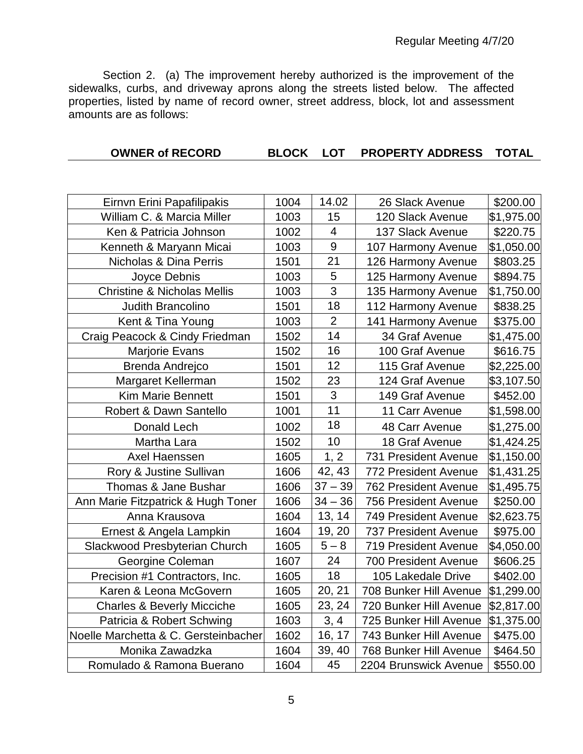Section 2. (a) The improvement hereby authorized is the improvement of the sidewalks, curbs, and driveway aprons along the streets listed below. The affected properties, listed by name of record owner, street address, block, lot and assessment amounts are as follows:

| <b>OWNER of RECORD</b> |  |  | BLOCK LOT PROPERTY ADDRESS TOTAL |  |
|------------------------|--|--|----------------------------------|--|
|------------------------|--|--|----------------------------------|--|

| Eirnvn Erini Papafilipakis             | 1004 | 14.02          | 26 Slack Avenue             | \$200.00   |
|----------------------------------------|------|----------------|-----------------------------|------------|
| William C. & Marcia Miller             | 1003 | 15             | 120 Slack Avenue            | \$1,975.00 |
| Ken & Patricia Johnson                 | 1002 | $\overline{4}$ | 137 Slack Avenue            | \$220.75   |
| Kenneth & Maryann Micai                | 1003 | 9              | 107 Harmony Avenue          | \$1,050.00 |
| Nicholas & Dina Perris                 | 1501 | 21             | 126 Harmony Avenue          | \$803.25   |
| Joyce Debnis                           | 1003 | 5              | 125 Harmony Avenue          | \$894.75   |
| <b>Christine &amp; Nicholas Mellis</b> | 1003 | 3              | 135 Harmony Avenue          | \$1,750.00 |
| Judith Brancolino                      | 1501 | 18             | 112 Harmony Avenue          | \$838.25   |
| Kent & Tina Young                      | 1003 | $\overline{2}$ | 141 Harmony Avenue          | \$375.00   |
| Craig Peacock & Cindy Friedman         | 1502 | 14             | 34 Graf Avenue              | \$1,475.00 |
| Marjorie Evans                         | 1502 | 16             | 100 Graf Avenue             | \$616.75   |
| Brenda Andrejco                        | 1501 | 12             | 115 Graf Avenue             | \$2,225.00 |
| Margaret Kellerman                     | 1502 | 23             | 124 Graf Avenue             | \$3,107.50 |
| <b>Kim Marie Bennett</b>               | 1501 | 3              | 149 Graf Avenue             | \$452.00   |
| Robert & Dawn Santello                 | 1001 | 11             | 11 Carr Avenue              | \$1,598.00 |
| Donald Lech                            | 1002 | 18             | 48 Carr Avenue              | \$1,275.00 |
| Martha Lara                            | 1502 | 10             | 18 Graf Avenue              | \$1,424.25 |
| Axel Haenssen                          | 1605 | 1, 2           | 731 President Avenue        | \$1,150.00 |
| Rory & Justine Sullivan                | 1606 | 42, 43         | 772 President Avenue        | \$1,431.25 |
| Thomas & Jane Bushar                   | 1606 | $37 - 39$      | <b>762 President Avenue</b> | \$1,495.75 |
| Ann Marie Fitzpatrick & Hugh Toner     | 1606 | $34 - 36$      | <b>756 President Avenue</b> | \$250.00   |
| Anna Krausova                          | 1604 | 13, 14         | 749 President Avenue        | \$2,623.75 |
| Ernest & Angela Lampkin                | 1604 | 19, 20         | <b>737 President Avenue</b> | \$975.00   |
| Slackwood Presbyterian Church          | 1605 | $5 - 8$        | 719 President Avenue        | \$4,050.00 |
| Georgine Coleman                       | 1607 | 24             | <b>700 President Avenue</b> | \$606.25   |
| Precision #1 Contractors, Inc.         | 1605 | 18             | 105 Lakedale Drive          | \$402.00   |
| Karen & Leona McGovern                 | 1605 | 20, 21         | 708 Bunker Hill Avenue      | \$1,299.00 |
| <b>Charles &amp; Beverly Micciche</b>  | 1605 | 23, 24         | 720 Bunker Hill Avenue      | \$2,817.00 |
| Patricia & Robert Schwing              | 1603 | 3, 4           | 725 Bunker Hill Avenue      | \$1,375.00 |
| Noelle Marchetta & C. Gersteinbacher   | 1602 | 16, 17         | 743 Bunker Hill Avenue      | \$475.00   |
| Monika Zawadzka                        | 1604 | 39, 40         | 768 Bunker Hill Avenue      | \$464.50   |
| Romulado & Ramona Buerano              | 1604 | 45             | 2204 Brunswick Avenue       | \$550.00   |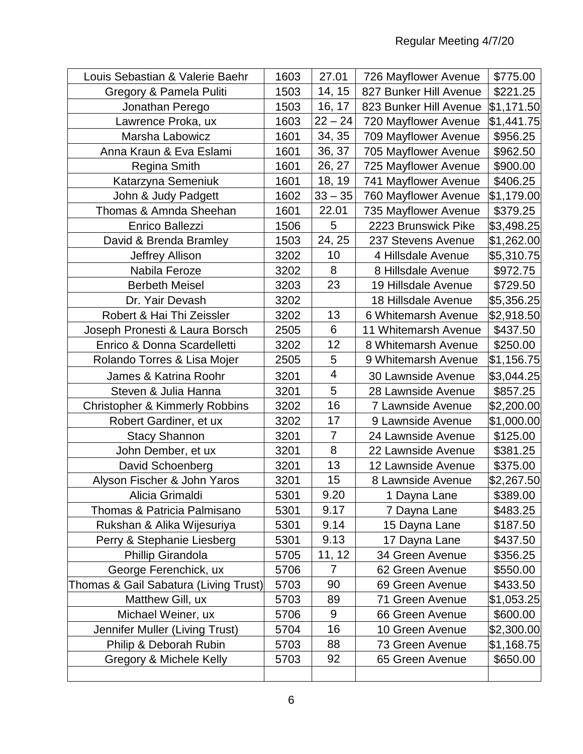| Louis Sebastian & Valerie Baehr           | 1603 | 27.01          | 726 Mayflower Avenue   | \$775.00   |
|-------------------------------------------|------|----------------|------------------------|------------|
| Gregory & Pamela Puliti                   | 1503 | 14, 15         | 827 Bunker Hill Avenue | \$221.25   |
| Jonathan Perego                           | 1503 | 16, 17         | 823 Bunker Hill Avenue | \$1,171.50 |
| Lawrence Proka, ux                        | 1603 | $22 - 24$      | 720 Mayflower Avenue   | \$1,441.75 |
| Marsha Labowicz                           | 1601 | 34, 35         | 709 Mayflower Avenue   | \$956.25   |
| Anna Kraun & Eva Eslami                   | 1601 | 36, 37         | 705 Mayflower Avenue   | \$962.50   |
| <b>Regina Smith</b>                       | 1601 | 26, 27         | 725 Mayflower Avenue   | \$900.00   |
| Katarzyna Semeniuk                        | 1601 | 18, 19         | 741 Mayflower Avenue   | \$406.25   |
| John & Judy Padgett                       | 1602 | $33 - 35$      | 760 Mayflower Avenue   | \$1,179.00 |
| Thomas & Amnda Sheehan                    | 1601 | 22.01          | 735 Mayflower Avenue   | \$379.25   |
| <b>Enrico Ballezzi</b>                    | 1506 | 5              | 2223 Brunswick Pike    | \$3,498.25 |
| David & Brenda Bramley                    | 1503 | 24, 25         | 237 Stevens Avenue     | \$1,262.00 |
| Jeffrey Allison                           | 3202 | 10             | 4 Hillsdale Avenue     | \$5,310.75 |
| Nabila Feroze                             | 3202 | 8              | 8 Hillsdale Avenue     | \$972.75   |
| <b>Berbeth Meisel</b>                     | 3203 | 23             | 19 Hillsdale Avenue    | \$729.50   |
| Dr. Yair Devash                           | 3202 |                | 18 Hillsdale Avenue    | \$5,356.25 |
| Robert & Hai Thi Zeissler                 | 3202 | 13             | 6 Whitemarsh Avenue    | \$2,918.50 |
| Joseph Pronesti & Laura Borsch            | 2505 | 6              | 11 Whitemarsh Avenue   | \$437.50   |
| Enrico & Donna Scardelletti               | 3202 | 12             | 8 Whitemarsh Avenue    | \$250.00   |
| Rolando Torres & Lisa Mojer               | 2505 | 5              | 9 Whitemarsh Avenue    | \$1,156.75 |
| James & Katrina Roohr                     | 3201 | 4              | 30 Lawnside Avenue     | \$3,044.25 |
| Steven & Julia Hanna                      | 3201 | 5              | 28 Lawnside Avenue     | \$857.25   |
| <b>Christopher &amp; Kimmerly Robbins</b> | 3202 | 16             | 7 Lawnside Avenue      | \$2,200.00 |
| Robert Gardiner, et ux                    | 3202 | 17             | 9 Lawnside Avenue      | \$1,000.00 |
| <b>Stacy Shannon</b>                      | 3201 | $\overline{7}$ | 24 Lawnside Avenue     | \$125.00   |
| John Dember, et ux                        | 3201 | 8              | 22 Lawnside Avenue     | \$381.25   |
| David Schoenberg                          | 3201 | 13             | 12 Lawnside Avenue     | \$375.00   |
| Alyson Fischer & John Yaros               | 3201 | 15             | 8 Lawnside Avenue      | \$2,267.50 |
| Alicia Grimaldi                           | 5301 | 9.20           | 1 Dayna Lane           | \$389.00   |
| Thomas & Patricia Palmisano               | 5301 | 9.17           | 7 Dayna Lane           | \$483.25   |
| Rukshan & Alika Wijesuriya                | 5301 | 9.14           | 15 Dayna Lane          | \$187.50   |
| Perry & Stephanie Liesberg                | 5301 | 9.13           | 17 Dayna Lane          | \$437.50   |
| Phillip Girandola                         | 5705 | 11, 12         | 34 Green Avenue        | \$356.25   |
| George Ferenchick, ux                     | 5706 | 7              | 62 Green Avenue        | \$550.00   |
| Thomas & Gail Sabatura (Living Trust)     | 5703 | 90             | 69 Green Avenue        | \$433.50   |
| Matthew Gill, ux                          | 5703 | 89             | 71 Green Avenue        | \$1,053.25 |
| Michael Weiner, ux                        | 5706 | 9              | 66 Green Avenue        | \$600.00   |
| Jennifer Muller (Living Trust)            | 5704 | 16             | 10 Green Avenue        | \$2,300.00 |
| Philip & Deborah Rubin                    | 5703 | 88             | 73 Green Avenue        | \$1,168.75 |
| Gregory & Michele Kelly                   | 5703 | 92             | 65 Green Avenue        | \$650.00   |
|                                           |      |                |                        |            |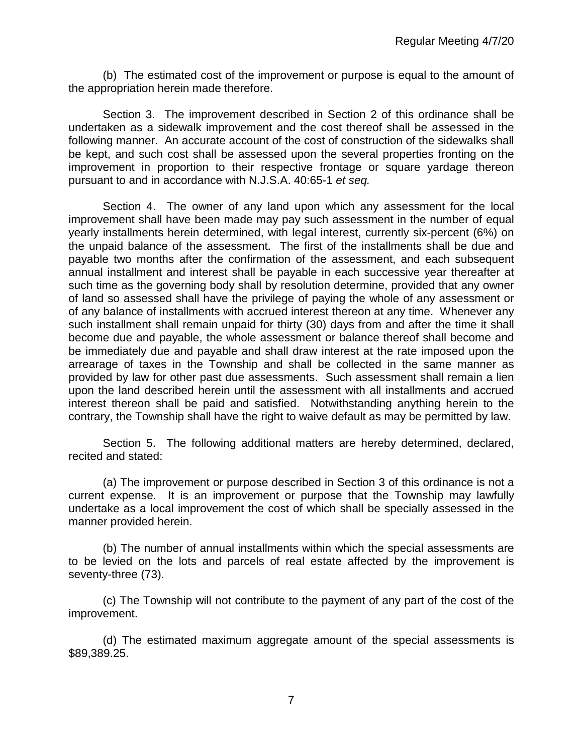(b) The estimated cost of the improvement or purpose is equal to the amount of the appropriation herein made therefore.

Section 3. The improvement described in Section 2 of this ordinance shall be undertaken as a sidewalk improvement and the cost thereof shall be assessed in the following manner. An accurate account of the cost of construction of the sidewalks shall be kept, and such cost shall be assessed upon the several properties fronting on the improvement in proportion to their respective frontage or square yardage thereon pursuant to and in accordance with N.J.S.A. 40:65-1 *et seq.*

Section 4. The owner of any land upon which any assessment for the local improvement shall have been made may pay such assessment in the number of equal yearly installments herein determined, with legal interest, currently six-percent (6%) on the unpaid balance of the assessment. The first of the installments shall be due and payable two months after the confirmation of the assessment, and each subsequent annual installment and interest shall be payable in each successive year thereafter at such time as the governing body shall by resolution determine, provided that any owner of land so assessed shall have the privilege of paying the whole of any assessment or of any balance of installments with accrued interest thereon at any time. Whenever any such installment shall remain unpaid for thirty (30) days from and after the time it shall become due and payable, the whole assessment or balance thereof shall become and be immediately due and payable and shall draw interest at the rate imposed upon the arrearage of taxes in the Township and shall be collected in the same manner as provided by law for other past due assessments. Such assessment shall remain a lien upon the land described herein until the assessment with all installments and accrued interest thereon shall be paid and satisfied. Notwithstanding anything herein to the contrary, the Township shall have the right to waive default as may be permitted by law.

Section 5. The following additional matters are hereby determined, declared, recited and stated:

(a) The improvement or purpose described in Section 3 of this ordinance is not a current expense. It is an improvement or purpose that the Township may lawfully undertake as a local improvement the cost of which shall be specially assessed in the manner provided herein.

(b) The number of annual installments within which the special assessments are to be levied on the lots and parcels of real estate affected by the improvement is seventy-three (73).

(c) The Township will not contribute to the payment of any part of the cost of the improvement.

(d) The estimated maximum aggregate amount of the special assessments is \$89,389.25.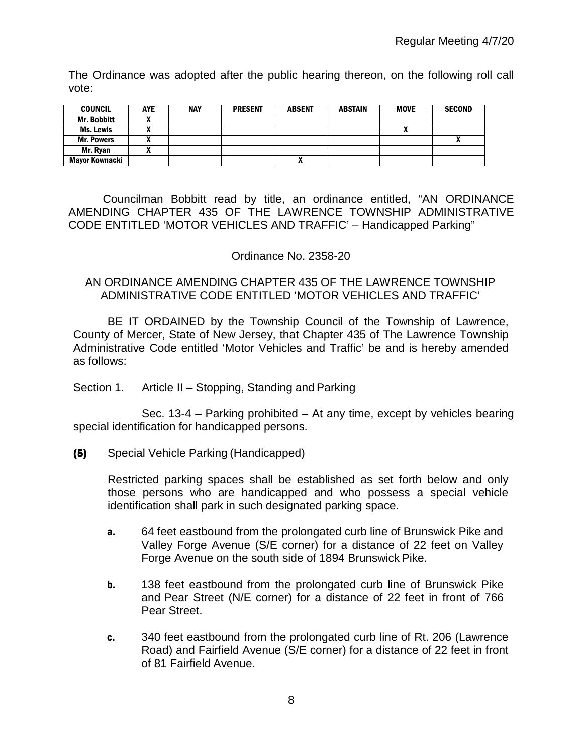The Ordinance was adopted after the public hearing thereon, on the following roll call vote:

| <b>COUNCIL</b>     | <b>AYE</b> | <b>NAY</b> | <b>PRESENT</b> | <b>ABSENT</b> | <b>ABSTAIN</b> | <b>MOVE</b> | <b>SECOND</b> |
|--------------------|------------|------------|----------------|---------------|----------------|-------------|---------------|
| <b>Mr. Bobbitt</b> |            |            |                |               |                |             |               |
| Ms. Lewis          |            |            |                |               |                | ^           |               |
| <b>Mr. Powers</b>  |            |            |                |               |                |             |               |
| Mr. Ryan           |            |            |                |               |                |             |               |
| Mayor Kownacki     |            |            |                |               |                |             |               |

Councilman Bobbitt read by title, an ordinance entitled, "AN ORDINANCE AMENDING CHAPTER 435 OF THE LAWRENCE TOWNSHIP ADMINISTRATIVE CODE ENTITLED 'MOTOR VEHICLES AND TRAFFIC' – Handicapped Parking"

# Ordinance No. 2358-20

#### AN ORDINANCE AMENDING CHAPTER 435 OF THE LAWRENCE TOWNSHIP ADMINISTRATIVE CODE ENTITLED 'MOTOR VEHICLES AND TRAFFIC'

BE IT ORDAINED by the Township Council of the Township of Lawrence, County of Mercer, State of New Jersey, that Chapter 435 of The Lawrence Township Administrative Code entitled 'Motor Vehicles and Traffic' be and is hereby amended as follows:

# Section 1. Article II – Stopping, Standing and Parking

Sec. 13-4 – Parking prohibited – At any time, except by vehicles bearing special identification for handicapped persons.

# (5) Special Vehicle Parking (Handicapped)

Restricted parking spaces shall be established as set forth below and only those persons who are handicapped and who possess a special vehicle identification shall park in such designated parking space.

- a. 64 feet eastbound from the prolongated curb line of Brunswick Pike and Valley Forge Avenue (S/E corner) for a distance of 22 feet on Valley Forge Avenue on the south side of 1894 Brunswick Pike.
- **b.** 138 feet eastbound from the prolongated curb line of Brunswick Pike and Pear Street (N/E corner) for a distance of 22 feet in front of 766 Pear Street.
- c. 340 feet eastbound from the prolongated curb line of Rt. 206 (Lawrence Road) and Fairfield Avenue (S/E corner) for a distance of 22 feet in front of 81 Fairfield Avenue.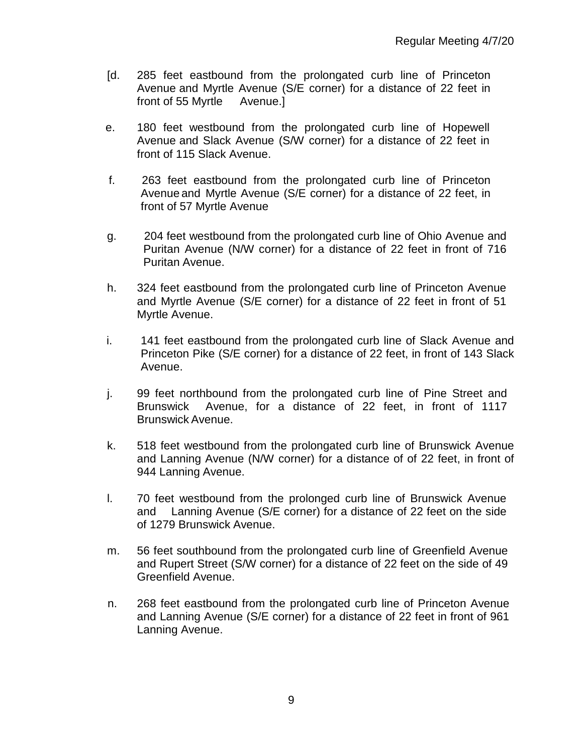- [d. 285 feet eastbound from the prolongated curb line of Princeton Avenue and Myrtle Avenue (S/E corner) for a distance of 22 feet in front of 55 Myrtle Avenue.]
- e. 180 feet westbound from the prolongated curb line of Hopewell Avenue and Slack Avenue (S/W corner) for a distance of 22 feet in front of 115 Slack Avenue.
- f. 263 feet eastbound from the prolongated curb line of Princeton Avenue and Myrtle Avenue (S/E corner) for a distance of 22 feet, in front of 57 Myrtle Avenue
- g. 204 feet westbound from the prolongated curb line of Ohio Avenue and Puritan Avenue (N/W corner) for a distance of 22 feet in front of 716 Puritan Avenue.
- h. 324 feet eastbound from the prolongated curb line of Princeton Avenue and Myrtle Avenue (S/E corner) for a distance of 22 feet in front of 51 Myrtle Avenue.
- i. 141 feet eastbound from the prolongated curb line of Slack Avenue and Princeton Pike (S/E corner) for a distance of 22 feet, in front of 143 Slack Avenue.
- j. 99 feet northbound from the prolongated curb line of Pine Street and Brunswick Avenue, for a distance of 22 feet, in front of 1117 Brunswick Avenue.
- k. 518 feet westbound from the prolongated curb line of Brunswick Avenue and Lanning Avenue (N/W corner) for a distance of of 22 feet, in front of 944 Lanning Avenue.
- l. 70 feet westbound from the prolonged curb line of Brunswick Avenue and Lanning Avenue (S/E corner) for a distance of 22 feet on the side of 1279 Brunswick Avenue.
- m. 56 feet southbound from the prolongated curb line of Greenfield Avenue and Rupert Street (S/W corner) for a distance of 22 feet on the side of 49 Greenfield Avenue.
- n. 268 feet eastbound from the prolongated curb line of Princeton Avenue and Lanning Avenue (S/E corner) for a distance of 22 feet in front of 961 Lanning Avenue.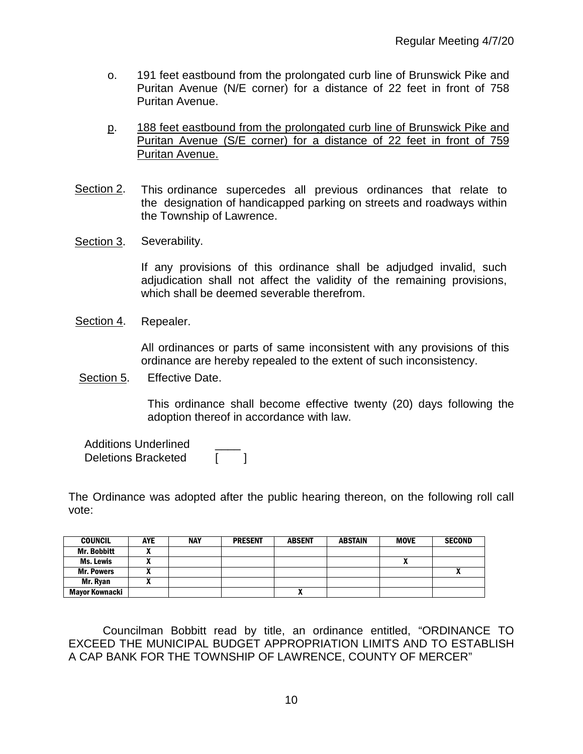- o. 191 feet eastbound from the prolongated curb line of Brunswick Pike and Puritan Avenue (N/E corner) for a distance of 22 feet in front of 758 Puritan Avenue.
- p. 188 feet eastbound from the prolongated curb line of Brunswick Pike and Puritan Avenue (S/E corner) for a distance of 22 feet in front of 759 Puritan Avenue.
- Section 2. This ordinance supercedes all previous ordinances that relate to the designation of handicapped parking on streets and roadways within the Township of Lawrence.
- Section 3. Severability.

If any provisions of this ordinance shall be adjudged invalid, such adjudication shall not affect the validity of the remaining provisions, which shall be deemed severable therefrom.

Section 4. Repealer.

All ordinances or parts of same inconsistent with any provisions of this ordinance are hereby repealed to the extent of such inconsistency.

Section 5. Effective Date.

This ordinance shall become effective twenty (20) days following the adoption thereof in accordance with law.

 Additions Underlined \_\_\_\_ Deletions Bracketed

The Ordinance was adopted after the public hearing thereon, on the following roll call vote:

| <b>COUNCIL</b>     | <b>AYE</b> | <b>NAY</b> | <b>PRESENT</b> | <b>ABSENT</b> | <b>ABSTAIN</b> | <b>MOVE</b> | <b>SECOND</b> |
|--------------------|------------|------------|----------------|---------------|----------------|-------------|---------------|
| <b>Mr. Bobbitt</b> |            |            |                |               |                |             |               |
| Ms. Lewis          |            |            |                |               |                | "           |               |
| <b>Mr. Powers</b>  |            |            |                |               |                |             |               |
| Mr. Ryan           |            |            |                |               |                |             |               |
| Mayor Kownacki     |            |            |                | $\mathbf{r}$  |                |             |               |

Councilman Bobbitt read by title, an ordinance entitled, "ORDINANCE TO EXCEED THE MUNICIPAL BUDGET APPROPRIATION LIMITS AND TO ESTABLISH A CAP BANK FOR THE TOWNSHIP OF LAWRENCE, COUNTY OF MERCER"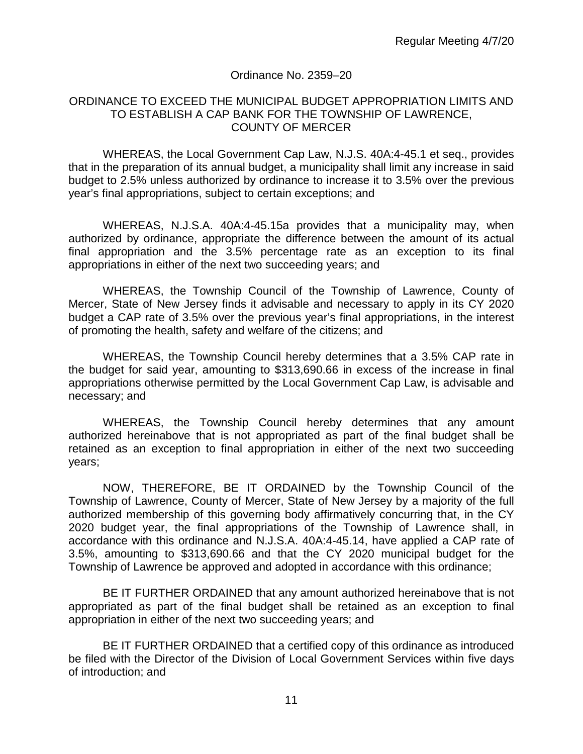#### Ordinance No. 2359–20

#### ORDINANCE TO EXCEED THE MUNICIPAL BUDGET APPROPRIATION LIMITS AND TO ESTABLISH A CAP BANK FOR THE TOWNSHIP OF LAWRENCE, COUNTY OF MERCER

WHEREAS, the Local Government Cap Law, N.J.S. 40A:4-45.1 et seq., provides that in the preparation of its annual budget, a municipality shall limit any increase in said budget to 2.5% unless authorized by ordinance to increase it to 3.5% over the previous year's final appropriations, subject to certain exceptions; and

WHEREAS, N.J.S.A. 40A:4-45.15a provides that a municipality may, when authorized by ordinance, appropriate the difference between the amount of its actual final appropriation and the 3.5% percentage rate as an exception to its final appropriations in either of the next two succeeding years; and

WHEREAS, the Township Council of the Township of Lawrence, County of Mercer, State of New Jersey finds it advisable and necessary to apply in its CY 2020 budget a CAP rate of 3.5% over the previous year's final appropriations, in the interest of promoting the health, safety and welfare of the citizens; and

WHEREAS, the Township Council hereby determines that a 3.5% CAP rate in the budget for said year, amounting to \$313,690.66 in excess of the increase in final appropriations otherwise permitted by the Local Government Cap Law, is advisable and necessary; and

WHEREAS, the Township Council hereby determines that any amount authorized hereinabove that is not appropriated as part of the final budget shall be retained as an exception to final appropriation in either of the next two succeeding years;

NOW, THEREFORE, BE IT ORDAINED by the Township Council of the Township of Lawrence, County of Mercer, State of New Jersey by a majority of the full authorized membership of this governing body affirmatively concurring that, in the CY 2020 budget year, the final appropriations of the Township of Lawrence shall, in accordance with this ordinance and N.J.S.A. 40A:4-45.14, have applied a CAP rate of 3.5%, amounting to \$313,690.66 and that the CY 2020 municipal budget for the Township of Lawrence be approved and adopted in accordance with this ordinance;

BE IT FURTHER ORDAINED that any amount authorized hereinabove that is not appropriated as part of the final budget shall be retained as an exception to final appropriation in either of the next two succeeding years; and

BE IT FURTHER ORDAINED that a certified copy of this ordinance as introduced be filed with the Director of the Division of Local Government Services within five days of introduction; and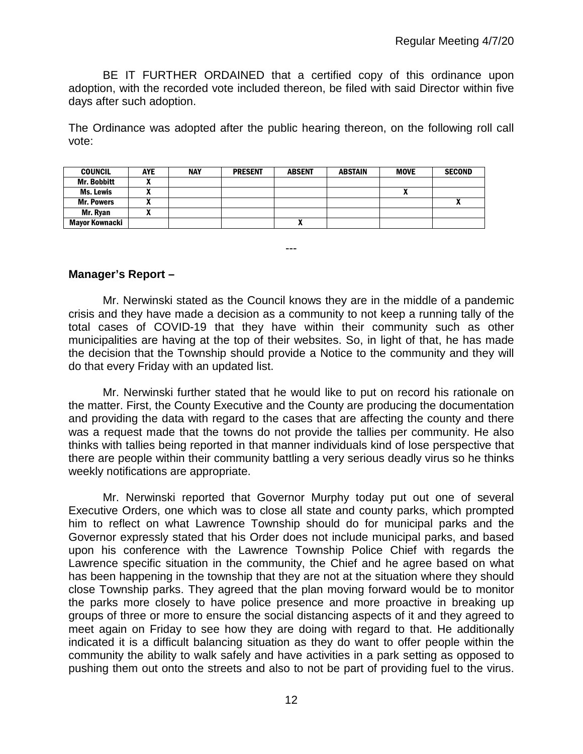BE IT FURTHER ORDAINED that a certified copy of this ordinance upon adoption, with the recorded vote included thereon, be filed with said Director within five days after such adoption.

The Ordinance was adopted after the public hearing thereon, on the following roll call vote:

| <b>COUNCIL</b>     | <b>AYE</b> | <b>NAY</b> | <b>PRESENT</b> | <b>ABSENT</b> | <b>ABSTAIN</b> | <b>MOVE</b> | <b>SECOND</b> |
|--------------------|------------|------------|----------------|---------------|----------------|-------------|---------------|
| <b>Mr. Bobbitt</b> |            |            |                |               |                |             |               |
| Ms. Lewis          |            |            |                |               |                | Λ           |               |
| <b>Mr. Powers</b>  | ~          |            |                |               |                |             |               |
| Mr. Ryan           |            |            |                |               |                |             |               |
| Mayor Kownacki     |            |            |                | ^             |                |             |               |

---

# **Manager's Report –**

Mr. Nerwinski stated as the Council knows they are in the middle of a pandemic crisis and they have made a decision as a community to not keep a running tally of the total cases of COVID-19 that they have within their community such as other municipalities are having at the top of their websites. So, in light of that, he has made the decision that the Township should provide a Notice to the community and they will do that every Friday with an updated list.

Mr. Nerwinski further stated that he would like to put on record his rationale on the matter. First, the County Executive and the County are producing the documentation and providing the data with regard to the cases that are affecting the county and there was a request made that the towns do not provide the tallies per community. He also thinks with tallies being reported in that manner individuals kind of lose perspective that there are people within their community battling a very serious deadly virus so he thinks weekly notifications are appropriate.

Mr. Nerwinski reported that Governor Murphy today put out one of several Executive Orders, one which was to close all state and county parks, which prompted him to reflect on what Lawrence Township should do for municipal parks and the Governor expressly stated that his Order does not include municipal parks, and based upon his conference with the Lawrence Township Police Chief with regards the Lawrence specific situation in the community, the Chief and he agree based on what has been happening in the township that they are not at the situation where they should close Township parks. They agreed that the plan moving forward would be to monitor the parks more closely to have police presence and more proactive in breaking up groups of three or more to ensure the social distancing aspects of it and they agreed to meet again on Friday to see how they are doing with regard to that. He additionally indicated it is a difficult balancing situation as they do want to offer people within the community the ability to walk safely and have activities in a park setting as opposed to pushing them out onto the streets and also to not be part of providing fuel to the virus.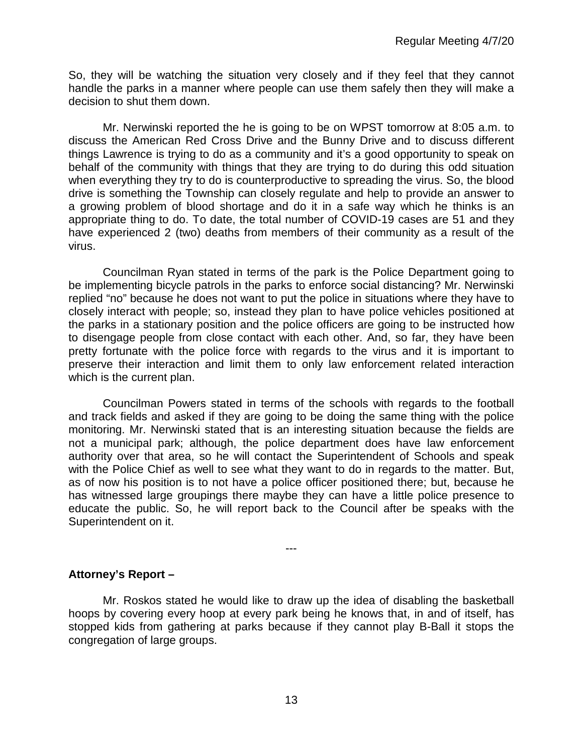So, they will be watching the situation very closely and if they feel that they cannot handle the parks in a manner where people can use them safely then they will make a decision to shut them down.

Mr. Nerwinski reported the he is going to be on WPST tomorrow at 8:05 a.m. to discuss the American Red Cross Drive and the Bunny Drive and to discuss different things Lawrence is trying to do as a community and it's a good opportunity to speak on behalf of the community with things that they are trying to do during this odd situation when everything they try to do is counterproductive to spreading the virus. So, the blood drive is something the Township can closely regulate and help to provide an answer to a growing problem of blood shortage and do it in a safe way which he thinks is an appropriate thing to do. To date, the total number of COVID-19 cases are 51 and they have experienced 2 (two) deaths from members of their community as a result of the virus.

Councilman Ryan stated in terms of the park is the Police Department going to be implementing bicycle patrols in the parks to enforce social distancing? Mr. Nerwinski replied "no" because he does not want to put the police in situations where they have to closely interact with people; so, instead they plan to have police vehicles positioned at the parks in a stationary position and the police officers are going to be instructed how to disengage people from close contact with each other. And, so far, they have been pretty fortunate with the police force with regards to the virus and it is important to preserve their interaction and limit them to only law enforcement related interaction which is the current plan.

Councilman Powers stated in terms of the schools with regards to the football and track fields and asked if they are going to be doing the same thing with the police monitoring. Mr. Nerwinski stated that is an interesting situation because the fields are not a municipal park; although, the police department does have law enforcement authority over that area, so he will contact the Superintendent of Schools and speak with the Police Chief as well to see what they want to do in regards to the matter. But, as of now his position is to not have a police officer positioned there; but, because he has witnessed large groupings there maybe they can have a little police presence to educate the public. So, he will report back to the Council after be speaks with the Superintendent on it.

# **Attorney's Report –**

Mr. Roskos stated he would like to draw up the idea of disabling the basketball hoops by covering every hoop at every park being he knows that, in and of itself, has stopped kids from gathering at parks because if they cannot play B-Ball it stops the congregation of large groups.

---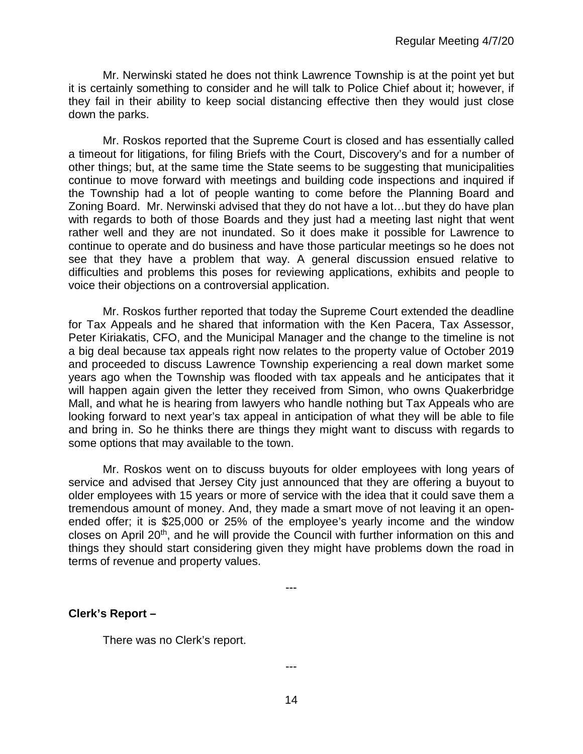Mr. Nerwinski stated he does not think Lawrence Township is at the point yet but it is certainly something to consider and he will talk to Police Chief about it; however, if they fail in their ability to keep social distancing effective then they would just close down the parks.

Mr. Roskos reported that the Supreme Court is closed and has essentially called a timeout for litigations, for filing Briefs with the Court, Discovery's and for a number of other things; but, at the same time the State seems to be suggesting that municipalities continue to move forward with meetings and building code inspections and inquired if the Township had a lot of people wanting to come before the Planning Board and Zoning Board. Mr. Nerwinski advised that they do not have a lot…but they do have plan with regards to both of those Boards and they just had a meeting last night that went rather well and they are not inundated. So it does make it possible for Lawrence to continue to operate and do business and have those particular meetings so he does not see that they have a problem that way. A general discussion ensued relative to difficulties and problems this poses for reviewing applications, exhibits and people to voice their objections on a controversial application.

Mr. Roskos further reported that today the Supreme Court extended the deadline for Tax Appeals and he shared that information with the Ken Pacera, Tax Assessor, Peter Kiriakatis, CFO, and the Municipal Manager and the change to the timeline is not a big deal because tax appeals right now relates to the property value of October 2019 and proceeded to discuss Lawrence Township experiencing a real down market some years ago when the Township was flooded with tax appeals and he anticipates that it will happen again given the letter they received from Simon, who owns Quakerbridge Mall, and what he is hearing from lawyers who handle nothing but Tax Appeals who are looking forward to next year's tax appeal in anticipation of what they will be able to file and bring in. So he thinks there are things they might want to discuss with regards to some options that may available to the town.

Mr. Roskos went on to discuss buyouts for older employees with long years of service and advised that Jersey City just announced that they are offering a buyout to older employees with 15 years or more of service with the idea that it could save them a tremendous amount of money. And, they made a smart move of not leaving it an openended offer; it is \$25,000 or 25% of the employee's yearly income and the window closes on April 20th, and he will provide the Council with further information on this and things they should start considering given they might have problems down the road in terms of revenue and property values.

---

**Clerk's Report –** 

There was no Clerk's report.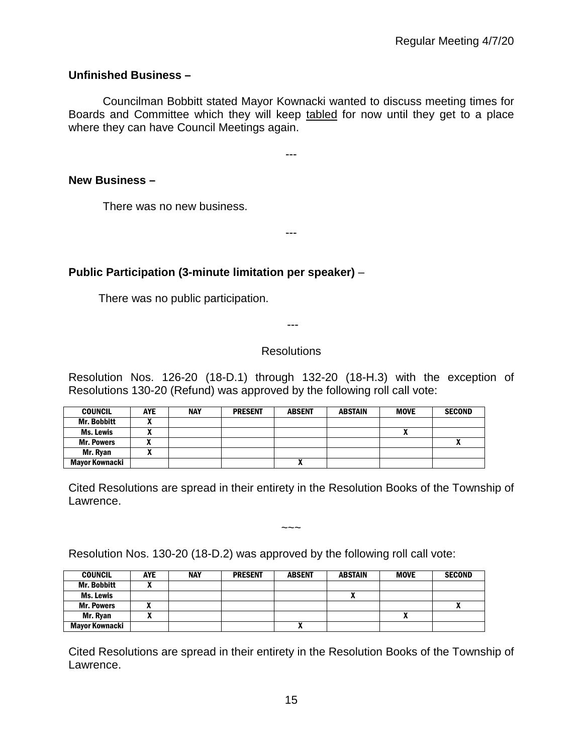# **Unfinished Business –**

Councilman Bobbitt stated Mayor Kownacki wanted to discuss meeting times for Boards and Committee which they will keep tabled for now until they get to a place where they can have Council Meetings again.

---

---

# **New Business –**

There was no new business.

# **Public Participation (3-minute limitation per speaker)** –

There was no public participation.

---

# **Resolutions**

Resolution Nos. 126-20 (18-D.1) through 132-20 (18-H.3) with the exception of Resolutions 130-20 (Refund) was approved by the following roll call vote:

| <b>COUNCIL</b>        | AYE | <b>NAY</b> | <b>PRESENT</b> | <b>ABSENT</b> | <b>ABSTAIN</b> | <b>MOVE</b> | <b>SECOND</b> |
|-----------------------|-----|------------|----------------|---------------|----------------|-------------|---------------|
| <b>Mr. Bobbitt</b>    |     |            |                |               |                |             |               |
| Ms. Lewis             | ,,  |            |                |               |                |             |               |
| <b>Mr. Powers</b>     |     |            |                |               |                |             |               |
| Mr. Ryan              | ^   |            |                |               |                |             |               |
| <b>Mayor Kownacki</b> |     |            |                | "             |                |             |               |

Cited Resolutions are spread in their entirety in the Resolution Books of the Township of Lawrence.

 $\sim\sim\sim$ 

Resolution Nos. 130-20 (18-D.2) was approved by the following roll call vote:

| <b>COUNCIL</b>        | <b>AYE</b> | <b>NAY</b> | <b>PRESENT</b> | <b>ABSENT</b> | <b>ABSTAIN</b> | <b>MOVE</b> | <b>SECOND</b> |
|-----------------------|------------|------------|----------------|---------------|----------------|-------------|---------------|
| <b>Mr. Bobbitt</b>    |            |            |                |               |                |             |               |
| <b>Ms. Lewis</b>      |            |            |                |               |                |             |               |
| <b>Mr. Powers</b>     |            |            |                |               |                |             |               |
| Mr. Ryan              |            |            |                |               |                | ^           |               |
| <b>Mayor Kownacki</b> |            |            |                | ^             |                |             |               |

Cited Resolutions are spread in their entirety in the Resolution Books of the Township of Lawrence.